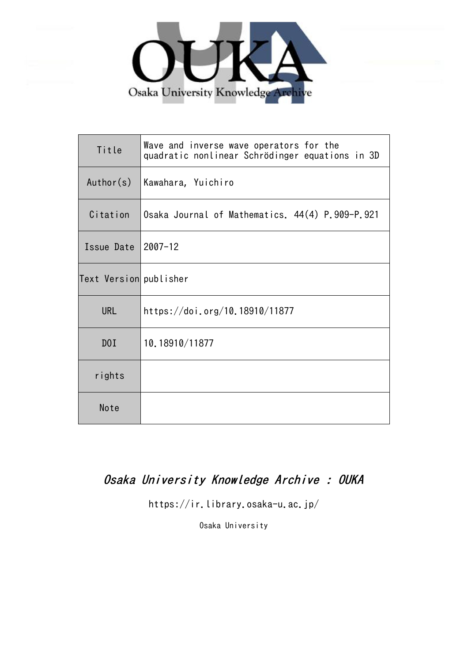

| Title                  | Wave and inverse wave operators for the<br>quadratic nonlinear Schrödinger equations in 3D |
|------------------------|--------------------------------------------------------------------------------------------|
| Author(s)              | Kawahara, Yuichiro                                                                         |
| Citation               | Osaka Journal of Mathematics. 44(4) P.909-P.921                                            |
| Issue Date $ 2007-12$  |                                                                                            |
| Text Version publisher |                                                                                            |
| <b>URL</b>             | https://doi.org/10.18910/11877                                                             |
| DOI                    | 10.18910/11877                                                                             |
| rights                 |                                                                                            |
| Note                   |                                                                                            |

# Osaka University Knowledge Archive : OUKA

https://ir.library.osaka-u.ac.jp/

Osaka University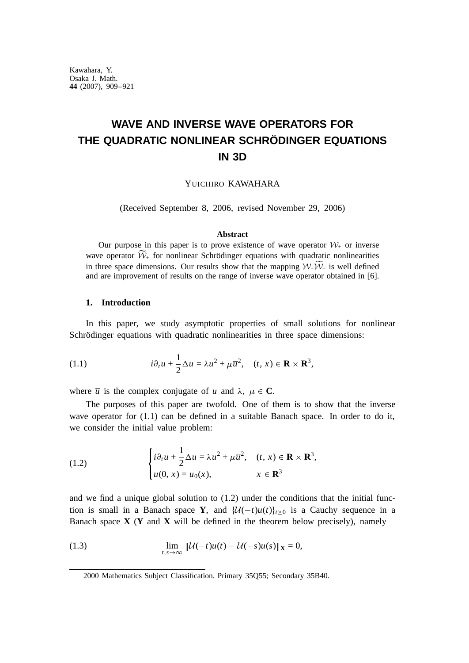# **WAVE AND INVERSE WAVE OPERATORS FOR THE QUADRATIC NONLINEAR SCHRÖDINGER EQUATIONS IN 3D**

YUICHIRO KAWAHARA

(Received September 8, 2006, revised November 29, 2006)

#### **Abstract**

Our purpose in this paper is to prove existence of wave operator  $W_+$  or inverse wave operator  $\widetilde{\mathcal{W}}_{+}$  for nonlinear Schrödinger equations with quadratic nonlinearities in three space dimensions. Our results show that the mapping  $W_+\widetilde{W}_+$  is well defined and are improvement of results on the range of inverse wave operator obtained in [6].

#### **1. Introduction**

In this paper, we study asymptotic properties of small solutions for nonlinear Schrödinger equations with quadratic nonlinearities in three space dimensions:

(1.1) 
$$
i \partial_t u + \frac{1}{2} \Delta u = \lambda u^2 + \mu \overline{u}^2, \quad (t, x) \in \mathbf{R} \times \mathbf{R}^3,
$$

where  $\overline{u}$  is the complex conjugate of *u* and  $\lambda$ ,  $\mu \in \mathbb{C}$ .

The purposes of this paper are twofold. One of them is to show that the inverse wave operator for  $(1.1)$  can be defined in a suitable Banach space. In order to do it, we consider the initial value problem:

(1.2) 
$$
\begin{cases} i \partial_t u + \frac{1}{2} \Delta u = \lambda u^2 + \mu \overline{u}^2, & (t, x) \in \mathbf{R} \times \mathbf{R}^3, \\ u(0, x) = u_0(x), & x \in \mathbf{R}^3 \end{cases}
$$

and we find a unique global solution to (1.2) under the conditions that the initial function is small in a Banach space **Y**, and  $\mathcal{U}(-t)u(t)|_{t>0}$  is a Cauchy sequence in a Banach space **X** (**Y** and **X** will be defined in the theorem below precisely), namely

(1.3) 
$$
\lim_{t,s \to \infty} \| \mathcal{U}(-t)u(t) - \mathcal{U}(-s)u(s) \|_{\mathbf{X}} = 0,
$$

<sup>2000</sup> Mathematics Subject Classification. Primary 35Q55; Secondary 35B40.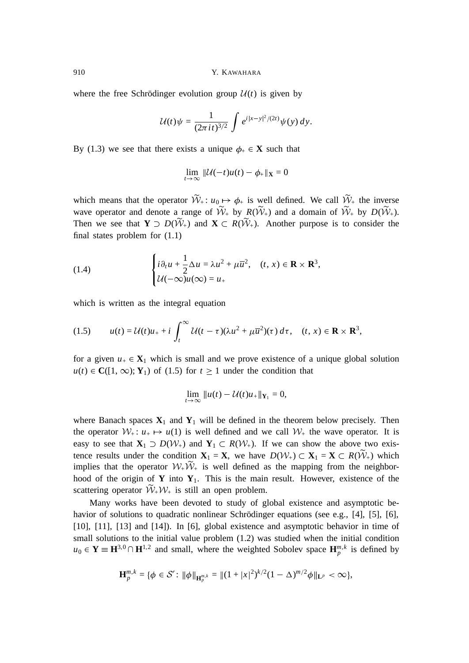where the free Schrödinger evolution group  $U(t)$  is given by

$$
\mathcal{U}(t)\psi = \frac{1}{(2\pi it)^{3/2}}\int e^{i|x-y|^2/(2t)}\psi(y)\,dy.
$$

By (1.3) we see that there exists a unique  $\phi_+ \in \mathbf{X}$  such that

$$
\lim_{t\to\infty} \|\mathcal{U}(-t)u(t)-\phi_+\|_{\mathbf{X}}=0
$$

which means that the operator  $W_+$ :  $u_0 \mapsto \phi_+$  is well defined. We call  $W_+$  the inverse wave operator and denote a range of  $W_+$  by  $R(W_+)$  and a domain of  $W_+$  by  $D(W_+)$ . Then we see that  $Y \supset D(W_+)$  and  $X \subset R(W_+)$ . Another purpose is to consider the final states problem for (1.1)

(1.4) 
$$
\begin{cases} i \partial_t u + \frac{1}{2} \Delta u = \lambda u^2 + \mu \overline{u}^2, & (t, x) \in \mathbf{R} \times \mathbf{R}^3, \\ \mathcal{U}(-\infty)u(\infty) = u_+ \end{cases}
$$

which is written as the integral equation

- -

(1.5) 
$$
u(t) = \mathcal{U}(t)u_{+} + i \int_{t}^{\infty} \mathcal{U}(t-\tau)(\lambda u^{2} + \mu \overline{u}^{2})(\tau) d\tau, \quad (t, x) \in \mathbf{R} \times \mathbf{R}^{3},
$$

for a given  $u_+ \in \mathbf{X}_1$  which is small and we prove existence of a unique global solution  $u(t) \in \mathbf{C}([1,\infty); \mathbf{Y}_1)$  of (1.5) for  $t \ge 1$  under the condition that

$$
\lim_{t\to\infty}||u(t)-\mathcal{U}(t)u_+||_{\mathbf{Y}_1}=0,
$$

where Banach spaces  $\mathbf{X}_1$  and  $\mathbf{Y}_1$  will be defined in the theorem below precisely. Then the operator  $W_+$ :  $u_+ \mapsto u(1)$  is well defined and we call  $W_+$  the wave operator. It is easy to see that  $X_1 \supset D(W_+)$  and  $Y_1 \subset R(W_+)$ . If we can show the above two existence results under the condition  $X_1 = X$ , we have  $D(\mathcal{W}_+) \subset X_1 = X \subset R(\mathcal{W}_+)$  which implies that the operator  $W_+W_+$  is well defined as the mapping from the neighborhood of the origin of  $Y$  into  $Y_1$ . This is the main result. However, existence of the scattering operator  $W_+W_+$  is still an open problem.

Many works have been devoted to study of global existence and asymptotic behavior of solutions to quadratic nonlinear Schrödinger equations (see e.g., [4], [5], [6], [10], [11], [13] and [14]). In [6], global existence and asymptotic behavior in time of small solutions to the initial value problem (1.2) was studied when the initial condition  $u_0 \in Y \equiv H^{3,0} \cap H^{1,2}$  and small, where the weighted Sobolev space  $H_p^{m,k}$  is defined by

$$
\mathbf{H}_{p}^{m,k} = \{ \phi \in \mathcal{S}' \colon \|\phi\|_{\mathbf{H}_{p}^{m,k}} = \|(1+|x|^{2})^{k/2}(1-\Delta)^{m/2}\phi\|_{\mathbf{L}^{p}} < \infty \},
$$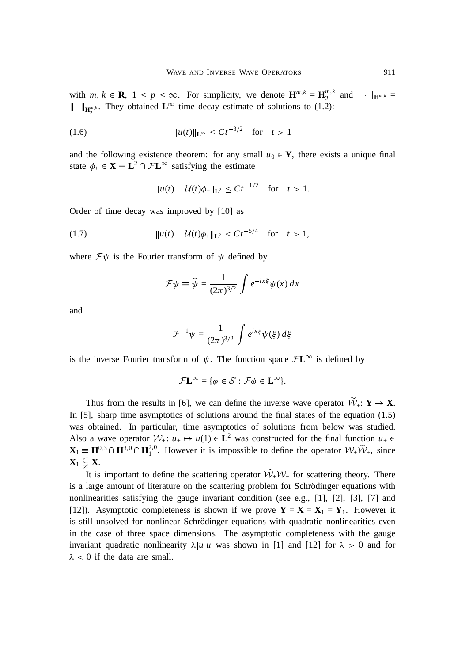with  $m, k \in \mathbf{R}, 1 \le p \le \infty$ . For simplicity, we denote  $\mathbf{H}^{m,k} = \mathbf{H}^{m,k}_2$  and  $\|\cdot\|_{\mathbf{H}^{m,k}} =$  $\|\cdot\|_{\mathbf{H}_{2}^{m,k}}$ . They obtained  $\mathbf{L}^{\infty}$  time decay estimate of solutions to (1.2):

(1.6) 
$$
||u(t)||_{L^{\infty}} \leq Ct^{-3/2} \text{ for } t > 1
$$

and the following existence theorem: for any small  $u_0 \in Y$ , there exists a unique final state  $\phi_+ \in \mathbf{X} \equiv \mathbf{L}^2 \cap \mathcal{F}\mathbf{L}^\infty$  satisfying the estimate

$$
||u(t) - \mathcal{U}(t)\phi_+||_{\mathbf{L}^2} \leq Ct^{-1/2} \quad \text{for} \quad t > 1.
$$

Order of time decay was improved by [10] as

(1.7) 
$$
||u(t) - \mathcal{U}(t)\phi_+||_{\mathbf{L}^2} \leq Ct^{-5/4} \text{ for } t > 1,
$$

where  $\mathcal{F}\psi$  is the Fourier transform of  $\psi$  defined by

$$
\mathcal{F}\psi \equiv \widehat{\psi} = \frac{1}{(2\pi)^{3/2}} \int e^{-ix\xi} \psi(x) dx
$$

and

$$
\mathcal{F}^{-1}\psi = \frac{1}{(2\pi)^{3/2}}\int e^{ix\xi}\psi(\xi)\,d\xi
$$

is the inverse Fourier transform of  $\psi$ . The function space  $\mathcal{F}L^{\infty}$  is defined by

$$
\mathcal{F}\mathbf{L}^{\infty} = \{ \phi \in \mathcal{S}' : \mathcal{F}\phi \in \mathbf{L}^{\infty} \}.
$$

Thus from the results in [6], we can define the inverse wave operator  $W_+$ :  $Y \to X$ . In [5], sharp time asymptotics of solutions around the final states of the equation (1.5) was obtained. In particular, time asymptotics of solutions from below was studied. Also a wave operator  $W_+$ :  $u_+ \mapsto u(1) \in L^2$  was constructed for the final function  $u_+ \in$  $\mathbf{X}_1 \equiv \mathbf{H}^{0,3} \cap \mathbf{H}^{3,0} \cap \mathbf{H}^{2,0}_1$ . However it is impossible to define the operator  $\mathcal{W}_+ \widetilde{\mathcal{W}}_+$ , since  $\mathbf{X}_1 \subsetneq \mathbf{X}$ .

It is important to define the scattering operator  $W_+W_+$  for scattering theory. There is a large amount of literature on the scattering problem for Schrödinger equations with nonlinearities satisfying the gauge invariant condition (see e.g., [1], [2], [3], [7] and [12]). Asymptotic completeness is shown if we prove  $Y = X = X_1 = Y_1$ . However it is still unsolved for nonlinear Schrödinger equations with quadratic nonlinearities even in the case of three space dimensions. The asymptotic completeness with the gauge invariant quadratic nonlinearity  $\lambda |u|u$  was shown in [1] and [12] for  $\lambda > 0$  and for  $\lambda$  < 0 if the data are small.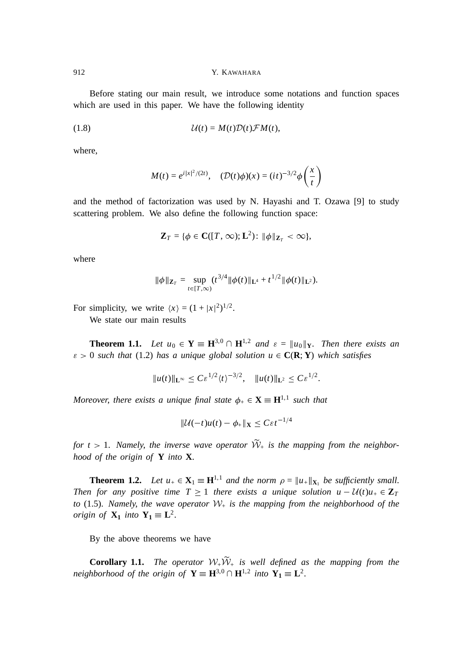Before stating our main result, we introduce some notations and function spaces which are used in this paper. We have the following identity

(1.8) U(*t*) = *M*(*t*)D(*t*)F *M*(*t*),

where,

$$
M(t) = e^{i|x|^2/(2t)}, \quad (D(t)\phi)(x) = (it)^{-3/2}\phi\left(\frac{x}{t}\right)
$$

and the method of factorization was used by N. Hayashi and T. Ozawa [9] to study scattering problem. We also define the following function space:

$$
\mathbf{Z}_T = \{ \phi \in \mathbf{C}([T,\infty);\mathbf{L}^2) : \|\phi\|_{\mathbf{Z}_T} < \infty \},
$$

where

$$
\|\phi\|_{\mathbf{Z}_T} = \sup_{t \in [T,\infty)} (t^{3/4} \|\phi(t)\|_{\mathbf{L}^4} + t^{1/2} \|\phi(t)\|_{\mathbf{L}^2}).
$$

For simplicity, we write  $\langle x \rangle = (1 + |x|^2)^{1/2}$ .

We state our main results

**Theorem 1.1.** Let  $u_0 \in Y \equiv H^{3,0} \cap H^{1,2}$  and  $\varepsilon = ||u_0||_Y$ . Then there exists an  $\varepsilon > 0$  such that (1.2) has a unique global solution  $u \in \mathbf{C}(\mathbf{R}; \mathbf{Y})$  which satisfies

$$
||u(t)||_{\mathbf{L}^{\infty}} \leq C \varepsilon^{1/2} \langle t \rangle^{-3/2}, \quad ||u(t)||_{\mathbf{L}^{2}} \leq C \varepsilon^{1/2}.
$$

*Moreover, there exists a unique final state*  $\phi_{+} \in \mathbf{X} \equiv \mathbf{H}^{1,1}$  *such that* 

$$
\|\mathcal{U}(-t)u(t)-\phi_{+}\|_{\mathbf{X}}\leq C\varepsilon t^{-1/4}
$$

for  $t > 1$ . Namely, the inverse wave operator  $W_+$  is the mapping from the neighbor*hood of the origin of* **Y** *into* **X**.

**Theorem 1.2.** Let  $u_+ \in \mathbf{X}_1 \equiv \mathbf{H}^{1,1}$  and the norm  $\rho = ||u_+||_{\mathbf{X}_1}$  be sufficiently small. *Then for any positive time*  $T \ge 1$  *there exists a unique solution*  $u - U(t)u_+ \in \mathbb{Z}_T$ *to* (1.5). *Namely*, *the wave operator* W<sup>+</sup> *is the mapping from the neighborhood of the origin of*  $X_1$  *into*  $Y_1 \equiv L^2$ .

By the above theorems we have

**Corollary 1.1.** The operator  $W_+W_+$  is well defined as the mapping from the *neighborhood of the origin of*  $Y \equiv H^{3,0} \cap H^{1,2}$  *into*  $Y_1 \equiv L^2$ .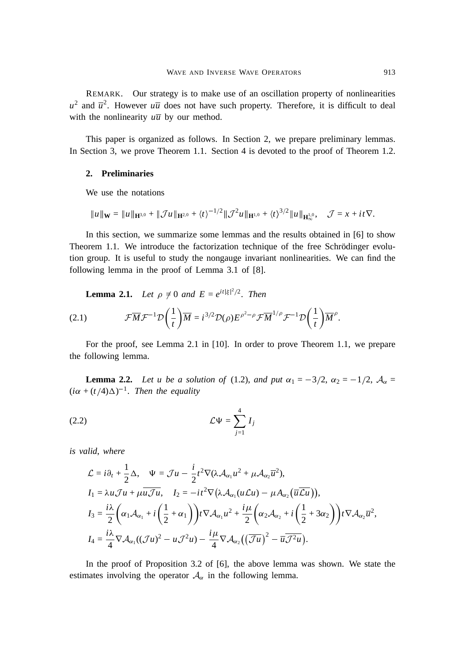REMARK. Our strategy is to make use of an oscillation property of nonlinearities  $u^2$  and  $\overline{u}^2$ . However  $u\overline{u}$  does not have such property. Therefore, it is difficult to deal with the nonlinearity  $u\overline{u}$  by our method.

This paper is organized as follows. In Section 2, we prepare preliminary lemmas. In Section 3, we prove Theorem 1.1. Section 4 is devoted to the proof of Theorem 1.2.

# **2. Preliminaries**

We use the notations

$$
\|u\|_{\mathbf{W}} = \|u\|_{\mathbf{H}^{3,0}} + \|\mathcal{J}u\|_{\mathbf{H}^{2,0}} + \langle t \rangle^{-1/2} \|\mathcal{J}^2u\|_{\mathbf{H}^{1,0}} + \langle t \rangle^{3/2} \|u\|_{\mathbf{H}_{\infty}^{1,0}}, \quad \mathcal{J} = x + it\nabla.
$$

In this section, we summarize some lemmas and the results obtained in [6] to show Theorem 1.1. We introduce the factorization technique of the free Schrödinger evolution group. It is useful to study the nongauge invariant nonlinearities. We can find the following lemma in the proof of Lemma 3.1 of [8].

**Lemma 2.1.** *Let*  $\rho \neq 0$  *and*  $E = e^{it|\xi|^2/2}$ *. Then* 

(2.1) 
$$
\mathcal{F}\overline{M}\mathcal{F}^{-1}\mathcal{D}\left(\frac{1}{t}\right)\overline{M} = i^{3/2}\mathcal{D}(\rho)E^{\rho^2-\rho}\mathcal{F}\overline{M}^{1/\rho}\mathcal{F}^{-1}\mathcal{D}\left(\frac{1}{t}\right)\overline{M}^{\rho}.
$$

For the proof, see Lemma 2.1 in [10]. In order to prove Theorem 1.1, we prepare the following lemma.

**Lemma 2.2.** *Let u be a solution of* (1.2), *and put*  $\alpha_1 = -3/2$ ,  $\alpha_2 = -1/2$ ,  $\mathcal{A}_{\alpha} =$  $(i\alpha + (t/4)\Delta)^{-1}$ . Then the equality

$$
(2.2) \t\t \mathcal{L}\Psi = \sum_{j=1}^{4} I_j
$$

*is valid*, *where*

$$
\mathcal{L} = i \partial_t + \frac{1}{2} \Delta, \quad \Psi = \mathcal{J} u - \frac{i}{2} t^2 \nabla (\lambda \mathcal{A}_{\alpha_1} u^2 + \mu \mathcal{A}_{\alpha_2} \overline{u}^2),
$$
\n
$$
I_1 = \lambda u \mathcal{J} u + \mu \overline{u \mathcal{J} u}, \quad I_2 = -it^2 \nabla (\lambda \mathcal{A}_{\alpha_1} (u \mathcal{L} u) - \mu \mathcal{A}_{\alpha_2} (\overline{u} \overline{\mathcal{L} u})),
$$
\n
$$
I_3 = \frac{i \lambda}{2} \left( \alpha_1 \mathcal{A}_{\alpha_1} + i \left( \frac{1}{2} + \alpha_1 \right) \right) t \nabla \mathcal{A}_{\alpha_1} u^2 + \frac{i \mu}{2} \left( \alpha_2 \mathcal{A}_{\alpha_2} + i \left( \frac{1}{2} + 3 \alpha_2 \right) \right) t \nabla \mathcal{A}_{\alpha_2} \overline{u}^2,
$$
\n
$$
I_4 = \frac{i \lambda}{4} \nabla \mathcal{A}_{\alpha_1} ((\mathcal{J} u)^2 - u \mathcal{J}^2 u) - \frac{i \mu}{4} \nabla \mathcal{A}_{\alpha_2} ((\overline{\mathcal{J} u})^2 - \overline{u} \overline{\mathcal{J}^2 u}).
$$

In the proof of Proposition 3.2 of [6], the above lemma was shown. We state the estimates involving the operator  $A_{\alpha}$  in the following lemma.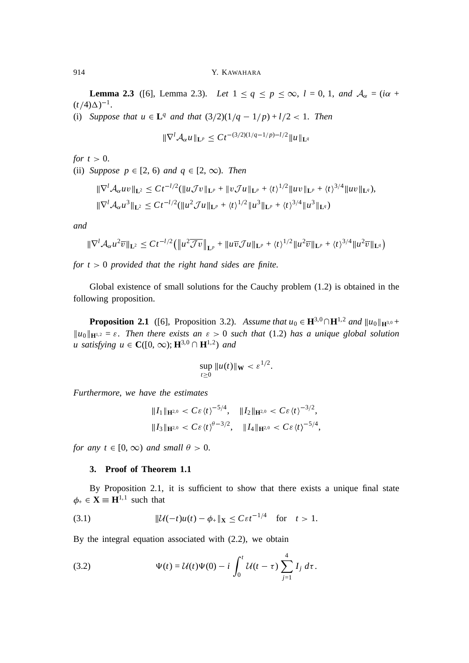**Lemma 2.3** ([6], Lemma 2.3). *Let*  $1 \le q \le p \le \infty$ ,  $l = 0, 1$ , and  $A_{\alpha} = (i\alpha + 1)$  $(t/4)\Delta)^{-1}$ .

(i) *Suppose that*  $u \in L^q$  *and that*  $(3/2)(1/q - 1/p) + l/2 < 1$ *. Then* 

$$
\|\nabla^l \mathcal{A}_{\alpha} u\|_{\mathbf{L}^p} \leq C t^{-(3/2)(1/q-1/p)-l/2} \|u\|_{\mathbf{L}^q}
$$

*for*  $t > 0$ .

(ii) *Suppose*  $p \in [2, 6)$  *and*  $q \in [2, \infty)$ . *Then* 

$$
\begin{aligned} &\|\nabla^l \mathcal{A}_{\alpha} uv\|_{\mathbf{L}^2} \leq C t^{-l/2} (\|u \mathcal{J} v\|_{\mathbf{L}^p} + \|v \mathcal{J} u\|_{\mathbf{L}^p} + \langle t \rangle^{1/2} \|u v\|_{\mathbf{L}^p} + \langle t \rangle^{3/4} \|u v\|_{\mathbf{L}^q}),\\ &\|\nabla^l \mathcal{A}_{\alpha} u^3\|_{\mathbf{L}^2} \leq C t^{-l/2} (\|u^2 \mathcal{J} u\|_{\mathbf{L}^p} + \langle t \rangle^{1/2} \|u^3\|_{\mathbf{L}^p} + \langle t \rangle^{3/4} \|u^3\|_{\mathbf{L}^q}) \end{aligned}
$$

*and*

$$
\|\nabla^l \mathcal{A}_{\alpha} u^2 \overline{v}\|_{\mathbf{L}^2} \leq C t^{-l/2} \left( \|u^2 \overline{\mathcal{J}v}\|_{\mathbf{L}^p} + \|u \overline{v} \mathcal{J}u\|_{\mathbf{L}^p} + \langle t \rangle^{1/2} \|u^2 \overline{v}\|_{\mathbf{L}^p} + \langle t \rangle^{3/4} \|u^2 \overline{v}\|_{\mathbf{L}^q} \right)
$$

*for t* <sup>&</sup>gt; 0 *provided that the right hand sides are finite*.

Global existence of small solutions for the Cauchy problem (1.2) is obtained in the following proposition.

**Proposition 2.1** ([6], Proposition 3.2). *Assume that*  $u_0 \in \mathbf{H}^{3,0} \cap \mathbf{H}^{1,2}$  *and*  $||u_0||_{\mathbf{H}^{3,0}} +$  $\|u_0\|_{\mathbf{H}^{1,2}} = \varepsilon$ . Then there exists an  $\varepsilon > 0$  such that (1.2) has a unique global solution *u* satisfying  $u \in \mathbb{C}([0, \infty); \mathbb{H}^{3,0} \cap \mathbb{H}^{1,2})$  and

$$
\sup_{t\geq 0} ||u(t)||_{\mathbf{W}} < \varepsilon^{1/2}.
$$

*Furthermore*, *we have the estimates*

$$
\begin{aligned} &\|I_1\|_{\mathbf{H}^{2,0}} < C\varepsilon \langle t \rangle^{-5/4}, \quad \|I_2\|_{\mathbf{H}^{2,0}} < C\varepsilon \langle t \rangle^{-3/2}, \\ &\|I_3\|_{\mathbf{H}^{2,0}} < C\varepsilon \langle t \rangle^{\theta-3/2}, \quad \|I_4\|_{\mathbf{H}^{2,0}} < C\varepsilon \langle t \rangle^{-5/4}, \end{aligned}
$$

*for any t*  $\in$  [0,  $\infty$ ) *and small*  $\theta$  > 0.

# **3. Proof of Theorem 1.1**

By Proposition 2.1, it is sufficient to show that there exists a unique final state  $\phi_+ \in \mathbf{X} \equiv \mathbf{H}^{1,1}$  such that

$$
(3.1) \t\t\t\t\t\|\mathcal{U}(-t)u(t)-\phi_{+}\|_{\mathbf{X}}\leq C\varepsilon t^{-1/4} \tfor\t\t t>1.
$$

By the integral equation associated with (2.2), we obtain

(3.2) 
$$
\Psi(t) = \mathcal{U}(t)\Psi(0) - i \int_0^t \mathcal{U}(t-\tau) \sum_{j=1}^4 I_j \, d\tau.
$$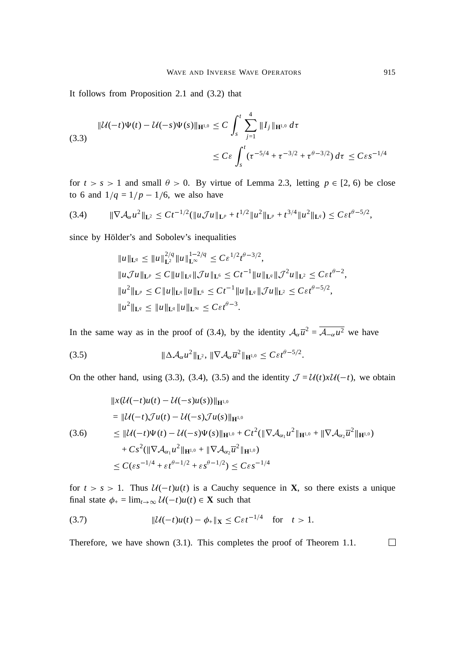It follows from Proposition 2.1 and (3.2) that

$$
\|U(-t)\Psi(t) - U(-s)\Psi(s)\|_{\mathbf{H}^{1,0}} \le C \int_{s}^{t} \sum_{j=1}^{4} \|I_j\|_{\mathbf{H}^{1,0}} d\tau
$$
\n(3.3)\n
$$
\le C \varepsilon \int_{s}^{t} (\tau^{-5/4} + \tau^{-3/2} + \tau^{\theta - 3/2}) d\tau \le C \varepsilon s^{-1/4}
$$

for  $t > s > 1$  and small  $\theta > 0$ . By virtue of Lemma 2.3, letting  $p \in [2, 6)$  be close to 6 and  $1/q = 1/p - 1/6$ , we also have

$$
(3.4) \t\t\t \|\nabla \mathcal{A}_{\alpha} u^2\|_{\mathbf{L}^2} \leq C t^{-1/2} (\|u \mathcal{J} u\|_{\mathbf{L}^p} + t^{1/2} \|u^2\|_{\mathbf{L}^p} + t^{3/4} \|u^2\|_{\mathbf{L}^q}) \leq C \varepsilon t^{\theta - 5/2},
$$

since by Hölder's and Sobolev's inequalities

$$
||u||_{\mathbf{L}^{q}} \leq ||u||_{\mathbf{L}^{2}}^{2/q} ||u||_{\mathbf{L}^{\infty}}^{1-2/q} \leq C \varepsilon^{1/2} t^{\theta-3/2},
$$
  
\n
$$
||u \mathcal{J}u||_{\mathbf{L}^{p}} \leq C ||u||_{\mathbf{L}^{q}} ||\mathcal{J}u||_{\mathbf{L}^{6}} \leq C t^{-1} ||u||_{\mathbf{L}^{q}} ||\mathcal{J}^{2}u||_{\mathbf{L}^{2}} \leq C \varepsilon t^{\theta-2},
$$
  
\n
$$
||u^{2}||_{\mathbf{L}^{p}} \leq C ||u||_{\mathbf{L}^{q}} ||u||_{\mathbf{L}^{6}} \leq C t^{-1} ||u||_{\mathbf{L}^{q}} ||\mathcal{J}u||_{\mathbf{L}^{2}} \leq C \varepsilon t^{\theta-5/2},
$$
  
\n
$$
||u^{2}||_{\mathbf{L}^{q}} \leq ||u||_{\mathbf{L}^{q}} ||u||_{\mathbf{L}^{\infty}} \leq C \varepsilon t^{\theta-3}.
$$

In the same way as in the proof of (3.4), by the identity  $A_{\alpha} \overline{u}^2 = \overline{A_{-\alpha} u^2}$  we have

(3.5) 
$$
\|\Delta \mathcal{A}_{\alpha} u^2\|_{\mathbf{L}^2}, \|\nabla \mathcal{A}_{\alpha} \overline{u}^2\|_{\mathbf{H}^{1,0}} \leq C \varepsilon t^{\theta - 5/2}.
$$

On the other hand, using (3.3), (3.4), (3.5) and the identity  $\mathcal{J} = \mathcal{U}(t)x\mathcal{U}(-t)$ , we obtain

$$
\|x(\mathcal{U}(-t)u(t) - \mathcal{U}(-s)u(s))\|_{\mathbf{H}^{1,0}}
$$
\n
$$
= \|\mathcal{U}(-t)\mathcal{J}u(t) - \mathcal{U}(-s)\mathcal{J}u(s)\|_{\mathbf{H}^{1,0}}
$$
\n(3.6) 
$$
\leq \|\mathcal{U}(-t)\Psi(t) - \mathcal{U}(-s)\Psi(s)\|_{\mathbf{H}^{1,0}} + Ct^2(\|\nabla \mathcal{A}_{\alpha_1}u^2\|_{\mathbf{H}^{1,0}} + \|\nabla \mathcal{A}_{\alpha_2}\overline{u}^2\|_{\mathbf{H}^{1,0}})
$$
\n
$$
+ Cs^2(\|\nabla \mathcal{A}_{\alpha_1}u^2\|_{\mathbf{H}^{1,0}} + \|\nabla \mathcal{A}_{\alpha_2}\overline{u}^2\|_{\mathbf{H}^{1,0}})
$$
\n
$$
\leq C(\varepsilon s^{-1/4} + \varepsilon t^{\theta - 1/2} + \varepsilon s^{\theta - 1/2}) \leq C \varepsilon s^{-1/4}
$$

for  $t > s > 1$ . Thus  $U(-t)u(t)$  is a Cauchy sequence in **X**, so there exists a unique final state  $\phi_+ = \lim_{t \to \infty} U(-t)u(t) \in \mathbf{X}$  such that

(3.7) 
$$
\|\mathcal{U}(-t)u(t) - \phi_{+}\|_{\mathbf{X}} \leq C\varepsilon t^{-1/4} \text{ for } t > 1.
$$

Therefore, we have shown (3.1). This completes the proof of Theorem 1.1. $\Box$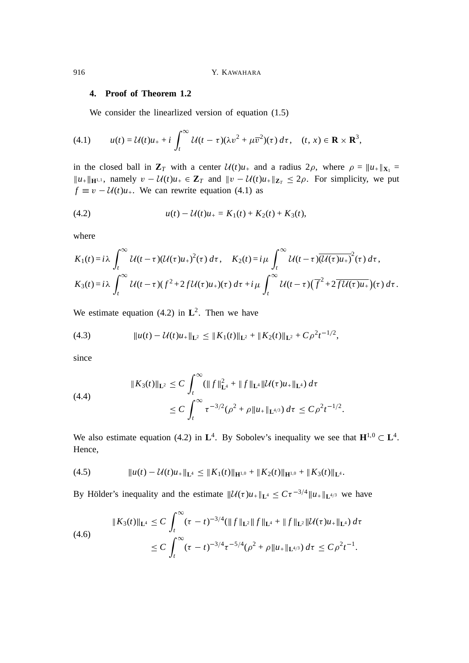# **4. Proof of Theorem 1.2**

We consider the linearlized version of equation  $(1.5)$ 

(4.1) 
$$
u(t) = \mathcal{U}(t)u_{+} + i \int_{t}^{\infty} \mathcal{U}(t-\tau)(\lambda v^{2} + \mu \overline{v}^{2})(\tau) d\tau, \quad (t, x) \in \mathbf{R} \times \mathbf{R}^{3},
$$

in the closed ball in  $\mathbf{Z}_T$  with a center  $\mathcal{U}(t)u_+$  and a radius  $2\rho$ , where  $\rho = ||u_+||_{\mathbf{X}_1} =$  $||u_+||_{\mathbf{H}^{1,1}}$ , namely  $v - \mathcal{U}(t)u_+ \in \mathbf{Z}_T$  and  $||v - \mathcal{U}(t)u_+||_{\mathbf{Z}_T} \leq 2\rho$ . For simplicity, we put  $f \equiv v - \mathcal{U}(t)u_+$ . We can rewrite equation (4.1) as

(4.2) 
$$
u(t) - \mathcal{U}(t)u_{+} = K_1(t) + K_2(t) + K_3(t),
$$

where

$$
K_1(t) = i\lambda \int_t^{\infty} U(t-\tau) (U(\tau)u_+)^2(\tau) d\tau, \quad K_2(t) = i\mu \int_t^{\infty} U(t-\tau) \overline{(U(\tau)u_+)}^2(\tau) d\tau,
$$
  

$$
K_3(t) = i\lambda \int_t^{\infty} U(t-\tau) (f^2 + 2fU(\tau)u_+)(\tau) d\tau + i\mu \int_t^{\infty} U(t-\tau) (\overline{f}^2 + 2\overline{fU(\tau)u_+})(\tau) d\tau.
$$

We estimate equation  $(4.2)$  in  $\mathbf{L}^2$ . Then we have

(4.3) 
$$
\|u(t) - \mathcal{U}(t)u_{+}\|_{\mathbf{L}^{2}} \leq \|K_{1}(t)\|_{\mathbf{L}^{2}} + \|K_{2}(t)\|_{\mathbf{L}^{2}} + C\rho^{2}t^{-1/2},
$$

since

(4.4)  

$$
|| K_3(t) ||_{\mathbf{L}^2} \leq C \int_t^{\infty} (||f||_{\mathbf{L}^4}^2 + ||f||_{\mathbf{L}^4} ||\mathcal{U}(\tau)u_+||_{\mathbf{L}^4}) d\tau
$$

$$
\leq C \int_t^{\infty} \tau^{-3/2} (\rho^2 + \rho ||u_+||_{\mathbf{L}^{4/3}}) d\tau \leq C \rho^2 t^{-1/2}.
$$

We also estimate equation (4.2) in  $L^4$ . By Sobolev's inequality we see that  $H^{1,0} \subset L^4$ . Hence,

(4.5) <sup>k</sup>*u*(*t*) U(*t*)*u*+k**L**<sup>4</sup> <sup>k</sup>*K*1(*t*)k**H**1,0 + <sup>k</sup>*K*2(*t*)k**H**1,0 + <sup>k</sup>*K*3(*t*)k**L**<sup>4</sup> .

By Hölder's inequality and the estimate  $||\mathcal{U}(\tau)u_+||_{\mathbf{L}^4} \leq C \tau^{-3/4}||u_+||_{\mathbf{L}^{4/3}}$  we have

$$
\|K_3(t)\|_{\mathbf{L}^4} \leq C \int_t^{\infty} (\tau - t)^{-3/4} (\|f\|_{\mathbf{L}^2} \|f\|_{\mathbf{L}^4} + \|f\|_{\mathbf{L}^2} \|\mathcal{U}(\tau)u_+\|_{\mathbf{L}^4}) d\tau
$$
  
(4.6)  

$$
\leq C \int_t^{\infty} (\tau - t)^{-3/4} \tau^{-5/4} (\rho^2 + \rho \|u_+\|_{\mathbf{L}^{4/3}}) d\tau \leq C \rho^2 t^{-1}.
$$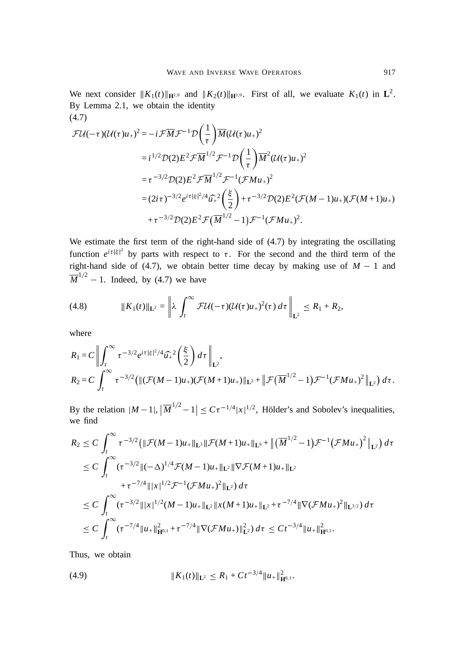We next consider  $||K_1(t)||_{\mathbf{H}^{1,0}}$  and  $||K_2(t)||_{\mathbf{H}^{1,0}}$ . First of all, we evaluate  $K_1(t)$  in  $\mathbf{L}^2$ . By Lemma 2.1, we obtain the identity (4.7)

$$
\mathcal{FU}(-\tau)(\mathcal{U}(\tau)u_{+})^{2} = -i\mathcal{F}\overline{M}\mathcal{F}^{-1}\mathcal{D}\left(\frac{1}{\tau}\right)\overline{M}(\mathcal{U}(\tau)u_{+})^{2}
$$
  
\n
$$
= i^{1/2}\mathcal{D}(2)E^{2}\mathcal{F}\overline{M}^{1/2}\mathcal{F}^{-1}\mathcal{D}\left(\frac{1}{\tau}\right)\overline{M}^{2}(\mathcal{U}(\tau)u_{+})^{2}
$$
  
\n
$$
= \tau^{-3/2}\mathcal{D}(2)E^{2}\mathcal{F}\overline{M}^{1/2}\mathcal{F}^{-1}(\mathcal{F}Mu_{+})^{2}
$$
  
\n
$$
= (2i\tau)^{-3/2}e^{i\tau|\xi|^{2}/4}\widehat{u}_{+}^{2}\left(\frac{\xi}{2}\right) + \tau^{-3/2}\mathcal{D}(2)E^{2}(\mathcal{F}(M-1)u_{+})(\mathcal{F}(M+1)u_{+})
$$
  
\n
$$
+ \tau^{-3/2}\mathcal{D}(2)E^{2}\mathcal{F}(\overline{M}^{1/2}-1)\mathcal{F}^{-1}(\mathcal{F}Mu_{+})^{2}.
$$

We estimate the first term of the right-hand side of (4.7) by integrating the oscillating function  $e^{i\tau |\xi|^2}$  by parts with respect to  $\tau$ . For the second and the third term of the right-hand side of (4.7), we obtain better time decay by making use of  $M - 1$  and  $\overline{M}^{1/2} - 1$ . Indeed, by (4.7) we have

(4.8) 
$$
|| K_1(t) ||_{\mathbf{L}^2} = \left\| \lambda \int_t^{\infty} \mathcal{F} \mathcal{U}(-\tau) (\mathcal{U}(\tau) u_+)^2(\tau) d\tau \right\|_{\mathbf{L}^2} \leq R_1 + R_2,
$$

where

$$
R_1 = C \left\| \int_t^{\infty} \tau^{-3/2} e^{i\tau |\xi|^2/4} \widehat{u}_+^2 \left( \frac{\xi}{2} \right) d\tau \right\|_{\mathbf{L}^2},
$$
  
\n
$$
R_2 = C \int_t^{\infty} \tau^{-3/2} \left( \| (\mathcal{F}(M-1)u_+) (\mathcal{F}(M+1)u_+) \|_{\mathbf{L}^2} + \| \mathcal{F}(\overline{M}^{1/2} - 1) \mathcal{F}^{-1} (\mathcal{F}Mu_+)^2 \|_{\mathbf{L}^2} \right) d\tau.
$$

By the relation  $|M-1|, |\overline{M}^{1/2}-1| \leq C \tau^{-1/4} |x|^{1/2}$ , Hölder's and Sobolev's inequalities, we find

$$
R_2 \leq C \int_t^{\infty} \tau^{-3/2} \left( \|\mathcal{F}(M-1)u_+\|_{\mathbf{L}^3} \|\mathcal{F}(M+1)u_+\|_{\mathbf{L}^6} + \left\| (\overline{M}^{1/2}-1)\mathcal{F}^{-1}(\mathcal{F}Mu_+) ^2 \right\|_{\mathbf{L}^2} \right) d\tau
$$
  
\n
$$
\leq C \int_t^{\infty} (\tau^{-3/2} \|(-\Delta)^{1/4}\mathcal{F}(M-1)u_+\|_{\mathbf{L}^2} \|\nabla \mathcal{F}(M+1)u_+\|_{\mathbf{L}^2}
$$
  
\n
$$
+ \tau^{-7/4} \| |x|^{1/2} \mathcal{F}^{-1}(\mathcal{F}Mu_+) ^2 \|_{\mathbf{L}^2} d\tau
$$
  
\n
$$
\leq C \int_t^{\infty} (\tau^{-3/2} \| |x|^{1/2} (M-1)u_+\|_{\mathbf{L}^2} \|x(M+1)u_+\|_{\mathbf{L}^2} + \tau^{-7/4} \| \nabla (\mathcal{F}Mu_+) ^2 \|_{\mathbf{L}^{3/2}}) d\tau
$$
  
\n
$$
\leq C \int_t^{\infty} (\tau^{-7/4} \| u_+\|_{\mathbf{H}^{0,1}}^2 + \tau^{-7/4} \| \nabla (\mathcal{F}Mu_+) \|_{\mathbf{L}^2}^2) d\tau \leq C t^{-3/4} \| u_+\|_{\mathbf{H}^{0,1}}^2.
$$

Thus, we obtain

(4.9) 
$$
\|K_1(t)\|_{\mathbf{L}^2} \leq R_1 + Ct^{-3/4} \|u_{+}\|_{\mathbf{H}^{0,1}}^2.
$$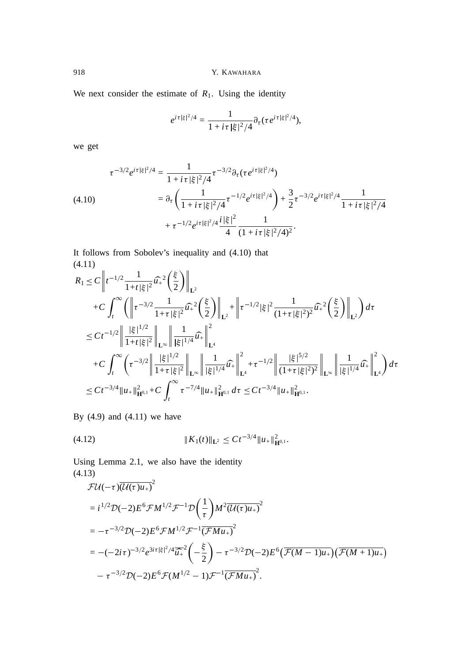918 Y. KAWAHARA

We next consider the estimate of  $R_1$ . Using the identity

$$
e^{i\tau|\xi|^2/4} = \frac{1}{1+i\tau|\xi|^2/4} \partial_{\tau}(\tau e^{i\tau|\xi|^2/4}),
$$

we get

$$
\tau^{-3/2}e^{i\tau|\xi|^2/4} = \frac{1}{1+i\tau|\xi|^2/4}\tau^{-3/2}\partial_{\tau}(\tau e^{i\tau|\xi|^2/4})
$$
\n
$$
(4.10) \qquad \qquad = \partial_{\tau}\left(\frac{1}{1+i\tau|\xi|^2/4}\tau^{-1/2}e^{i\tau|\xi|^2/4}\right) + \frac{3}{2}\tau^{-3/2}e^{i\tau|\xi|^2/4}\frac{1}{1+i\tau|\xi|^2/4}
$$
\n
$$
+ \tau^{-1/2}e^{i\tau|\xi|^2/4}\frac{i|\xi|^2}{4}\frac{1}{(1+i\tau|\xi|^2/4)^2}.
$$

It follows from Sobolev's inequality and (4.10) that (4.11)

$$
R_{1} \leq C \left\| t^{-1/2} \frac{1}{1+t|\xi|^{2}} \widehat{u}_{+}^{2}\left(\frac{\xi}{2}\right) \right\|_{\mathbf{L}^{2}} + C \int_{t}^{\infty} \left( \left\| \tau^{-3/2} \frac{1}{1+\tau|\xi|^{2}} \widehat{u}_{+}^{2}\left(\frac{\xi}{2}\right) \right\|_{\mathbf{L}^{2}} + \left\| \tau^{-1/2}|\xi|^{2} \frac{1}{(1+\tau|\xi|^{2})^{2}} \widehat{u}_{+}^{2}\left(\frac{\xi}{2}\right) \right\|_{\mathbf{L}^{2}} \right) d\tau
$$
  
\n
$$
\leq Ct^{-1/2} \left\| \frac{|\xi|^{1/2}}{1+t|\xi|^{2}} \right\|_{\mathbf{L}^{\infty}} \left\| \frac{1}{|\xi|^{1/4}} \widehat{u}_{+}^{2}\right\|_{\mathbf{L}^{4}}^{2}
$$
  
\n
$$
+ C \int_{t}^{\infty} \left( \tau^{-3/2} \left\| \frac{|\xi|^{1/2}}{1+\tau|\xi|^{2}} \right\|_{\mathbf{L}^{\infty}} \right\| \frac{1}{|\xi|^{1/4}} \widehat{u}_{+}^{2}\right\|_{\mathbf{L}^{4}}^{2} + \tau^{-1/2} \left\| \frac{|\xi|^{5/2}}{(1+\tau|\xi|^{2})^{2}} \right\|_{\mathbf{L}^{\infty}} \left\| \frac{1}{|\xi|^{1/4}} \widehat{u}_{+}^{2}\right\|_{\mathbf{L}^{4}}^{2} d\tau
$$
  
\n
$$
\leq Ct^{-3/4} \|u_{+}\|_{\mathbf{H}^{0,1}}^{2} + C \int_{t}^{\infty} \tau^{-7/4} \|u_{+}\|_{\mathbf{H}^{0,1}}^{2} d\tau \leq Ct^{-3/4} \|u_{+}\|_{\mathbf{H}^{0,1}}^{2}.
$$

By  $(4.9)$  and  $(4.11)$  we have

(4.12) <sup>k</sup>*K*1(*t*)k**L**<sup>2</sup> *Ct*3=<sup>4</sup> <sup>k</sup>*u*+<sup>k</sup> 2 **<sup>H</sup>**0,1 .

Using Lemma 2.1, we also have the identity (4.13)

$$
\mathcal{FU}(-\tau)\overline{(\mathcal{U}(\tau)u_+)}^2
$$
\n
$$
=i^{1/2}\mathcal{D}(-2)E^6\mathcal{F}M^{1/2}\mathcal{F}^{-1}\mathcal{D}\left(\frac{1}{\tau}\right)M^2\overline{(\mathcal{U}(\tau)u_+)}^2
$$
\n
$$
=-\tau^{-3/2}\mathcal{D}(-2)E^6\mathcal{F}M^{1/2}\mathcal{F}^{-1}\overline{(\mathcal{F}Mu_+)}^2
$$
\n
$$
= -(-2i\tau)^{-3/2}e^{3i\tau|\xi|^2/4}\overline{\widetilde{u}_+}^2\left(-\frac{\xi}{2}\right) - \tau^{-3/2}\mathcal{D}(-2)E^6\left(\overline{\mathcal{F}(M-1)u_+}\right)\left(\overline{\mathcal{F}(M+1)u_+}\right)
$$
\n
$$
-\tau^{-3/2}\mathcal{D}(-2)E^6\mathcal{F}(M^{1/2}-1)\mathcal{F}^{-1}\overline{(\mathcal{F}Mu_+)}^2.
$$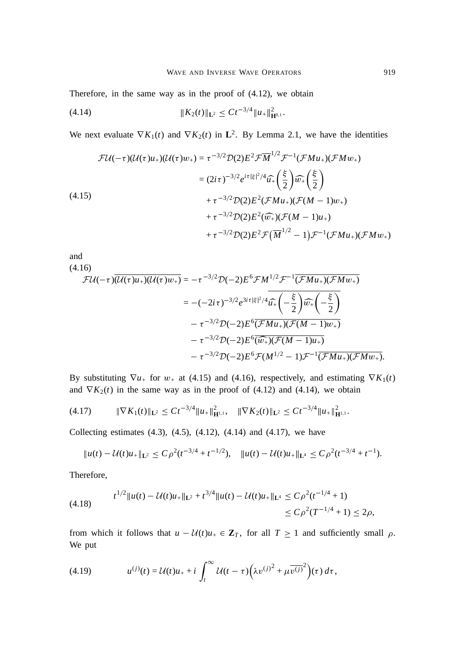Therefore, in the same way as in the proof of (4.12), we obtain

<sup>k</sup>*K*2(*t*)k**L**<sup>2</sup> *Ct*3=<sup>4</sup> <sup>k</sup>*u*+<sup>k</sup> 2 (4.14) **<sup>H</sup>**0,1 .

We next evaluate  $\nabla K_1(t)$  and  $\nabla K_2(t)$  in  $\mathbf{L}^2$ . By Lemma 2.1, we have the identities

$$
\mathcal{FU}(-\tau)(\mathcal{U}(\tau)u_{+})(\mathcal{U}(\tau)w_{+}) = \tau^{-3/2}\mathcal{D}(2)E^{2}\mathcal{F}\overline{M}^{1/2}\mathcal{F}^{-1}(\mathcal{F}Mu_{+})(\mathcal{F}Mw_{+})
$$
\n
$$
= (2i\tau)^{-3/2}e^{i\tau|\xi|^{2}/4}\widehat{u}_{+}\left(\frac{\xi}{2}\right)\widehat{w}_{+}\left(\frac{\xi}{2}\right)
$$
\n
$$
+ \tau^{-3/2}\mathcal{D}(2)E^{2}(\mathcal{F}Mu_{+})(\mathcal{F}(M-1)w_{+})
$$
\n
$$
+ \tau^{-3/2}\mathcal{D}(2)E^{2}(\widehat{w}_{+})(\mathcal{F}(M-1)u_{+})
$$
\n
$$
+ \tau^{-3/2}\mathcal{D}(2)E^{2}\mathcal{F}(\overline{M}^{1/2} - 1)\mathcal{F}^{-1}(\mathcal{F}Mu_{+})(\mathcal{F}Mu_{+})
$$

and

(4.16)

$$
\mathcal{FU}(-\tau)\overline{(\mathcal{U}(\tau)u_{+})(\mathcal{U}(\tau)w_{+})} = -\tau^{-3/2}\mathcal{D}(-2)E^{6}\mathcal{F}M^{1/2}\mathcal{F}^{-1}\overline{(\mathcal{F}Mu_{+})(\mathcal{F}Mw_{+})}
$$
\n
$$
= -(-2i\tau)^{-3/2}e^{3i\tau|\xi|^{2}/4}\overline{u_{+}\left(-\frac{\xi}{2}\right)}\overline{w_{+}\left(-\frac{\xi}{2}\right)}
$$
\n
$$
-\tau^{-3/2}\mathcal{D}(-2)E^{6}(\overline{\mathcal{F}Mu_{+})(\mathcal{F}(M-1)w_{+})}
$$
\n
$$
-\tau^{-3/2}\mathcal{D}(-2)E^{6}(\overline{\widehat{w_{+}})(\mathcal{F}(M-1)u_{+})}
$$
\n
$$
-\tau^{-3/2}\mathcal{D}(-2)E^{6}\mathcal{F}(M^{1/2}-1)\mathcal{F}^{-1}(\overline{\mathcal{F}Mu_{+})(\mathcal{F}Mw_{+})}.
$$

By substituting  $\nabla u_+$  for  $w_+$  at (4.15) and (4.16), respectively, and estimating  $\nabla K_1(t)$ and  $\nabla K_2(t)$  in the same way as in the proof of (4.12) and (4.14), we obtain

$$
(4.17) \t\t\t \|\nabla K_1(t)\|_{\mathbf{L}^2} \leq C t^{-3/4} \|u_+\|_{\mathbf{H}^{1,1}}^2, \t\t \|\nabla K_2(t)\|_{\mathbf{L}^2} \leq C t^{-3/4} \|u_+\|_{\mathbf{H}^{1,1}}^2.
$$

Collecting estimates  $(4.3)$ ,  $(4.5)$ ,  $(4.12)$ ,  $(4.14)$  and  $(4.17)$ , we have

$$
||u(t) - \mathcal{U}(t)u_+||_{\mathbf{L}^2} \leq C\rho^2(t^{-3/4} + t^{-1/2}), \quad ||u(t) - \mathcal{U}(t)u_+||_{\mathbf{L}^4} \leq C\rho^2(t^{-3/4} + t^{-1}).
$$

Therefore,

$$
(4.18) \t t^{1/2} \|u(t) - \mathcal{U}(t)u_{+}\|_{\mathbf{L}^{2}} + t^{3/4} \|u(t) - \mathcal{U}(t)u_{+}\|_{\mathbf{L}^{4}} \leq C\rho^{2}(t^{-1/4} + 1) \leq C\rho^{2}(T^{-1/4} + 1) \leq 2\rho,
$$

from which it follows that  $u - U(t)u_+ \in \mathbb{Z}_T$ , for all  $T \ge 1$  and sufficiently small  $\rho$ . We put

(4.19) 
$$
u^{(j)}(t) = \mathcal{U}(t)u_{+} + i \int_{t}^{\infty} \mathcal{U}(t-\tau) \Big( \lambda v^{(j)^{2}} + \mu \overline{v^{(j)}}^{2} \Big) (\tau) d\tau,
$$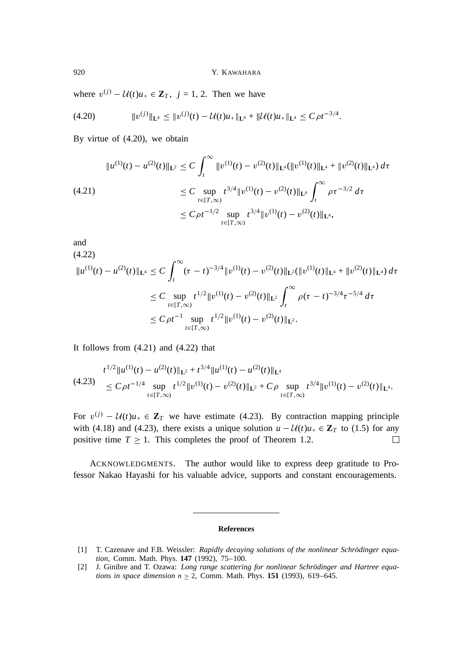where  $v^{(j)} - \mathcal{U}(t)u_+ \in \mathbb{Z}_T$ ,  $j = 1, 2$ . Then we have

$$
(4.20) \t\t\t ||v^{(j)}||_{\mathbf{L}^{4}} \leq ||v^{(j)}(t) - \mathcal{U}(t)u_{+}||_{\mathbf{L}^{4}} + ||\mathcal{U}(t)u_{+}||_{\mathbf{L}^{4}} \leq C\rho t^{-3/4}.
$$

By virtue of (4.20), we obtain

$$
\|u^{(1)}(t) - u^{(2)}(t)\|_{\mathbf{L}^{2}} \leq C \int_{t}^{\infty} \|v^{(1)}(t) - v^{(2)}(t)\|_{\mathbf{L}^{4}} (\|v^{(1)}(t)\|_{\mathbf{L}^{4}} + \|v^{(2)}(t)\|_{\mathbf{L}^{4}}) d\tau
$$
  
(4.21)  

$$
\leq C \sup_{t \in [T,\infty)} t^{3/4} \|v^{(1)}(t) - v^{(2)}(t)\|_{\mathbf{L}^{4}} \int_{t}^{\infty} \rho \tau^{-3/2} d\tau
$$
  

$$
\leq C \rho t^{-1/2} \sup_{t \in [T,\infty)} t^{3/4} \|v^{(1)}(t) - v^{(2)}(t)\|_{\mathbf{L}^{4}},
$$

and

 $(4.22)$ 

$$
\|u^{(1)}(t) - u^{(2)}(t)\|_{\mathbf{L}^{4}} \leq C \int_{t}^{\infty} (\tau - t)^{-3/4} \|v^{(1)}(t) - v^{(2)}(t)\|_{\mathbf{L}^{2}} (\|v^{(1)}(t)\|_{\mathbf{L}^{4}} + \|v^{(2)}(t)\|_{\mathbf{L}^{4}}) d\tau
$$
  
\n
$$
\leq C \sup_{t \in [T,\infty)} t^{1/2} \|v^{(1)}(t) - v^{(2)}(t)\|_{\mathbf{L}^{2}} \int_{t}^{\infty} \rho(\tau - t)^{-3/4} \tau^{-5/4} d\tau
$$
  
\n
$$
\leq C \rho t^{-1} \sup_{t \in [T,\infty)} t^{1/2} \|v^{(1)}(t) - v^{(2)}(t)\|_{\mathbf{L}^{2}}.
$$

It follows from (4.21) and (4.22) that

$$
(4.23) \quad \begin{aligned} t^{1/2} \|u^{(1)}(t) - u^{(2)}(t)\|_{\mathbf{L}^2} + t^{3/4} \|u^{(1)}(t) - u^{(2)}(t)\|_{\mathbf{L}^4} \\ &\leq C\rho t^{-1/4} \sup_{t \in [T,\infty)} t^{1/2} \|v^{(1)}(t) - v^{(2)}(t)\|_{\mathbf{L}^2} + C\rho \sup_{t \in [T,\infty)} t^{3/4} \|v^{(1)}(t) - v^{(2)}(t)\|_{\mathbf{L}^4} .\end{aligned}
$$

For  $v^{(j)} - U(t)u_+ \in \mathbb{Z}_T$  we have estimate (4.23). By contraction mapping principle with (4.18) and (4.23), there exists a unique solution  $u - \mathcal{U}(t)u_+ \in \mathbb{Z}_T$  to (1.5) for any positive time  $T \geq 1$ . This completes the proof of Theorem 1.2.  $\Box$ 

ACKNOWLEDGMENTS. The author would like to express deep gratitude to Professor Nakao Hayashi for his valuable advice, supports and constant encouragements.

#### **References**

- [1] T. Cazenave and F.B. Weissler: *Rapidly decaying solutions of the nonlinear Schrödinger equation*, Comm. Math. Phys. **147** (1992), 75–100.
- [2] J. Ginibre and T. Ozawa: *Long range scattering for nonlinear Schrödinger and Hartree equations in space dimension*  $n \ge 2$ , Comm. Math. Phys. **151** (1993), 619–645.